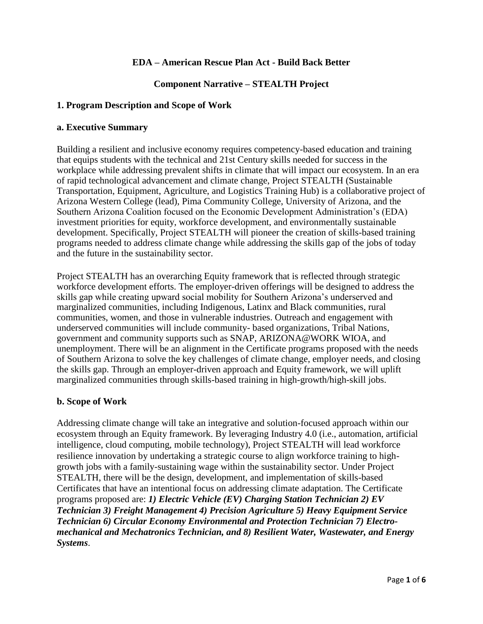### **EDA – American Rescue Plan Act - Build Back Better**

### **Component Narrative – STEALTH Project**

### **1. Program Description and Scope of Work**

#### **a. Executive Summary**

Building a resilient and inclusive economy requires competency-based education and training that equips students with the technical and 21st Century skills needed for success in the workplace while addressing prevalent shifts in climate that will impact our ecosystem. In an era of rapid technological advancement and climate change, Project STEALTH (Sustainable Transportation, Equipment, Agriculture, and Logistics Training Hub) is a collaborative project of Arizona Western College (lead), Pima Community College, University of Arizona, and the Southern Arizona Coalition focused on the Economic Development Administration's (EDA) investment priorities for equity, workforce development, and environmentally sustainable development. Specifically, Project STEALTH will pioneer the creation of skills-based training programs needed to address climate change while addressing the skills gap of the jobs of today and the future in the sustainability sector.

Project STEALTH has an overarching Equity framework that is reflected through strategic workforce development efforts. The employer-driven offerings will be designed to address the skills gap while creating upward social mobility for Southern Arizona's underserved and marginalized communities, including Indigenous, Latinx and Black communities, rural communities, women, and those in vulnerable industries. Outreach and engagement with underserved communities will include community- based organizations, Tribal Nations, government and community supports such as SNAP, ARIZONA@WORK WIOA, and unemployment. There will be an alignment in the Certificate programs proposed with the needs of Southern Arizona to solve the key challenges of climate change, employer needs, and closing the skills gap. Through an employer-driven approach and Equity framework, we will uplift marginalized communities through skills-based training in high-growth/high-skill jobs.

### **b. Scope of Work**

Addressing climate change will take an integrative and solution-focused approach within our ecosystem through an Equity framework. By leveraging Industry 4.0 (i.e., automation, artificial intelligence, cloud computing, mobile technology), Project STEALTH will lead workforce resilience innovation by undertaking a strategic course to align workforce training to highgrowth jobs with a family-sustaining wage within the sustainability sector. Under Project STEALTH, there will be the design, development, and implementation of skills-based Certificates that have an intentional focus on addressing climate adaptation. The Certificate programs proposed are: *1) Electric Vehicle (EV) Charging Station Technician 2) EV Technician 3) Freight Management 4) Precision Agriculture 5) Heavy Equipment Service Technician 6) Circular Economy Environmental and Protection Technician 7) Electromechanical and Mechatronics Technician, and 8) Resilient Water, Wastewater, and Energy Systems*.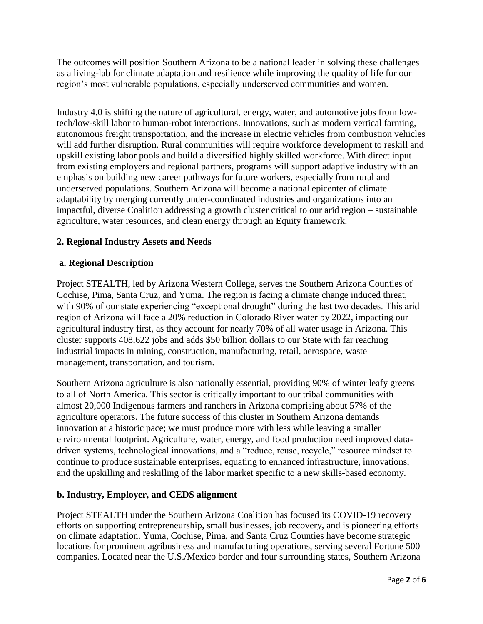The outcomes will position Southern Arizona to be a national leader in solving these challenges as a living-lab for climate adaptation and resilience while improving the quality of life for our region's most vulnerable populations, especially underserved communities and women.

Industry 4.0 is shifting the nature of agricultural, energy, water, and automotive jobs from lowtech/low-skill labor to human-robot interactions. Innovations, such as modern vertical farming, autonomous freight transportation, and the increase in electric vehicles from combustion vehicles will add further disruption. Rural communities will require workforce development to reskill and upskill existing labor pools and build a diversified highly skilled workforce. With direct input from existing employers and regional partners, programs will support adaptive industry with an emphasis on building new career pathways for future workers, especially from rural and underserved populations. Southern Arizona will become a national epicenter of climate adaptability by merging currently under-coordinated industries and organizations into an impactful, diverse Coalition addressing a growth cluster critical to our arid region – sustainable agriculture, water resources, and clean energy through an Equity framework.

# **2. Regional Industry Assets and Needs**

## **a. Regional Description**

Project STEALTH, led by Arizona Western College, serves the Southern Arizona Counties of Cochise, Pima, Santa Cruz, and Yuma. The region is facing a climate change induced threat, with 90% of our state experiencing "exceptional drought" during the last two decades. This arid region of Arizona will face a 20% reduction in Colorado River water by 2022, impacting our agricultural industry first, as they account for nearly 70% of all water usage in Arizona. This cluster supports 408,622 jobs and adds \$50 billion dollars to our State with far reaching industrial impacts in mining, construction, manufacturing, retail, aerospace, waste management, transportation, and tourism.

Southern Arizona agriculture is also nationally essential, providing 90% of winter leafy greens to all of North America. This sector is critically important to our tribal communities with almost 20,000 Indigenous farmers and ranchers in Arizona comprising about 57% of the agriculture operators. The future success of this cluster in Southern Arizona demands innovation at a historic pace; we must produce more with less while leaving a smaller environmental footprint. Agriculture, water, energy, and food production need improved datadriven systems, technological innovations, and a "reduce, reuse, recycle," resource mindset to continue to produce sustainable enterprises, equating to enhanced infrastructure, innovations, and the upskilling and reskilling of the labor market specific to a new skills-based economy.

### **b. Industry, Employer, and CEDS alignment**

Project STEALTH under the Southern Arizona Coalition has focused its COVID-19 recovery efforts on supporting entrepreneurship, small businesses, job recovery, and is pioneering efforts on climate adaptation. Yuma, Cochise, Pima, and Santa Cruz Counties have become strategic locations for prominent agribusiness and manufacturing operations, serving several Fortune 500 companies. Located near the U.S./Mexico border and four surrounding states, Southern Arizona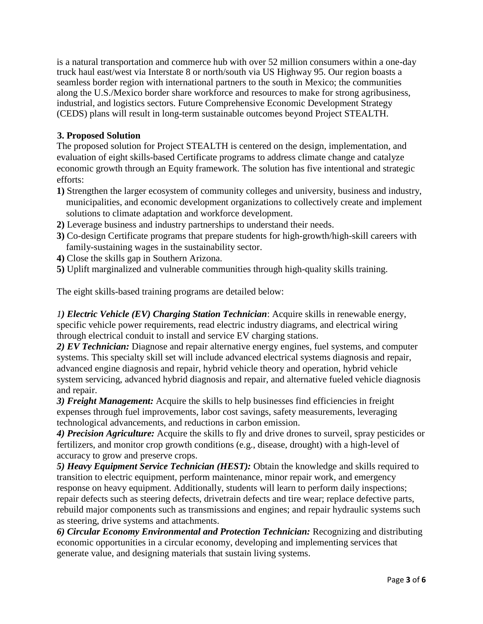is a natural transportation and commerce hub with over 52 million consumers within a one-day truck haul east/west via Interstate 8 or north/south via US Highway 95. Our region boasts a seamless border region with international partners to the south in Mexico; the communities along the U.S./Mexico border share workforce and resources to make for strong agribusiness, industrial, and logistics sectors. Future Comprehensive Economic Development Strategy (CEDS) plans will result in long-term sustainable outcomes beyond Project STEALTH.

## **3. Proposed Solution**

The proposed solution for Project STEALTH is centered on the design, implementation, and evaluation of eight skills-based Certificate programs to address climate change and catalyze economic growth through an Equity framework. The solution has five intentional and strategic efforts:

- **1)** Strengthen the larger ecosystem of community colleges and university, business and industry, municipalities, and economic development organizations to collectively create and implement solutions to climate adaptation and workforce development.
- **2)** Leverage business and industry partnerships to understand their needs.
- **3)** Co-design Certificate programs that prepare students for high-growth/high-skill careers with family-sustaining wages in the sustainability sector.
- **4)** Close the skills gap in Southern Arizona.
- **5)** Uplift marginalized and vulnerable communities through high-quality skills training.

The eight skills-based training programs are detailed below:

*1) Electric Vehicle (EV) Charging Station Technician*: Acquire skills in renewable energy, specific vehicle power requirements, read electric industry diagrams, and electrical wiring through electrical conduit to install and service EV charging stations.

*2) EV Technician:* Diagnose and repair alternative energy engines, fuel systems, and computer systems. This specialty skill set will include advanced electrical systems diagnosis and repair, advanced engine diagnosis and repair, hybrid vehicle theory and operation, hybrid vehicle system servicing, advanced hybrid diagnosis and repair, and alternative fueled vehicle diagnosis and repair.

*3) Freight Management:* Acquire the skills to help businesses find efficiencies in freight expenses through fuel improvements, labor cost savings, safety measurements, leveraging technological advancements, and reductions in carbon emission.

*4) Precision Agriculture:* Acquire the skills to fly and drive drones to surveil, spray pesticides or fertilizers, and monitor crop growth conditions (e.g., disease, drought) with a high-level of accuracy to grow and preserve crops.

*5) Heavy Equipment Service Technician (HEST):* Obtain the knowledge and skills required to transition to electric equipment, perform maintenance, minor repair work, and emergency response on heavy equipment. Additionally, students will learn to perform daily inspections; repair defects such as steering defects, drivetrain defects and tire wear; replace defective parts, rebuild major components such as transmissions and engines; and repair hydraulic systems such as steering, drive systems and attachments.

*6) Circular Economy Environmental and Protection Technician:* Recognizing and distributing economic opportunities in a circular economy, developing and implementing services that generate value, and designing materials that sustain living systems.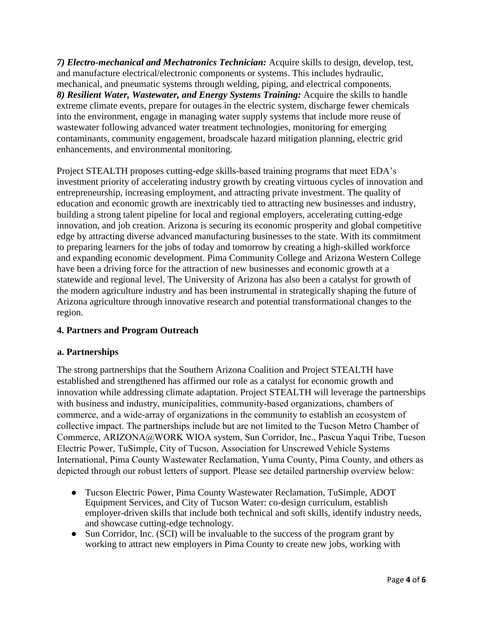*7) Electro-mechanical and Mechatronics Technician:* Acquire skills to design, develop, test, and manufacture electrical/electronic components or systems. This includes hydraulic, mechanical, and pneumatic systems through welding, piping, and electrical components. *8) Resilient Water, Wastewater, and Energy Systems Training:* Acquire the skills to handle extreme climate events, prepare for outages in the electric system, discharge fewer chemicals into the environment, engage in managing water supply systems that include more reuse of wastewater following advanced water treatment technologies, monitoring for emerging contaminants, community engagement, broadscale hazard mitigation planning, electric grid enhancements, and environmental monitoring.

Project STEALTH proposes cutting-edge skills-based training programs that meet EDA's investment priority of accelerating industry growth by creating virtuous cycles of innovation and entrepreneurship, increasing employment, and attracting private investment. The quality of education and economic growth are inextricably tied to attracting new businesses and industry, building a strong talent pipeline for local and regional employers, accelerating cutting-edge innovation, and job creation. Arizona is securing its economic prosperity and global competitive edge by attracting diverse advanced manufacturing businesses to the state. With its commitment to preparing learners for the jobs of today and tomorrow by creating a high-skilled workforce and expanding economic development. Pima Community College and Arizona Western College have been a driving force for the attraction of new businesses and economic growth at a statewide and regional level. The University of Arizona has also been a catalyst for growth of the modern agriculture industry and has been instrumental in strategically shaping the future of Arizona agriculture through innovative research and potential transformational changes to the region.

# **4. Partners and Program Outreach**

### **a. Partnerships**

The strong partnerships that the Southern Arizona Coalition and Project STEALTH have established and strengthened has affirmed our role as a catalyst for economic growth and innovation while addressing climate adaptation. Project STEALTH will leverage the partnerships with business and industry, municipalities, community-based organizations, chambers of commerce, and a wide-array of organizations in the community to establish an ecosystem of collective impact. The partnerships include but are not limited to the Tucson Metro Chamber of Commerce, ARIZONA@WORK WIOA system, Sun Corridor, Inc., Pascua Yaqui Tribe, Tucson Electric Power, TuSimple, City of Tucson, Association for Unscrewed Vehicle Systems International, Pima County Wastewater Reclamation, Yuma County, Pima County, and others as depicted through our robust letters of support. Please see detailed partnership overview below:

- Tucson Electric Power, Pima County Wastewater Reclamation, TuSimple, ADOT Equipment Services, and City of Tucson Water: co-design curriculum, establish employer-driven skills that include both technical and soft skills, identify industry needs, and showcase cutting-edge technology.
- Sun Corridor, Inc. (SCI) will be invaluable to the success of the program grant by working to attract new employers in Pima County to create new jobs, working with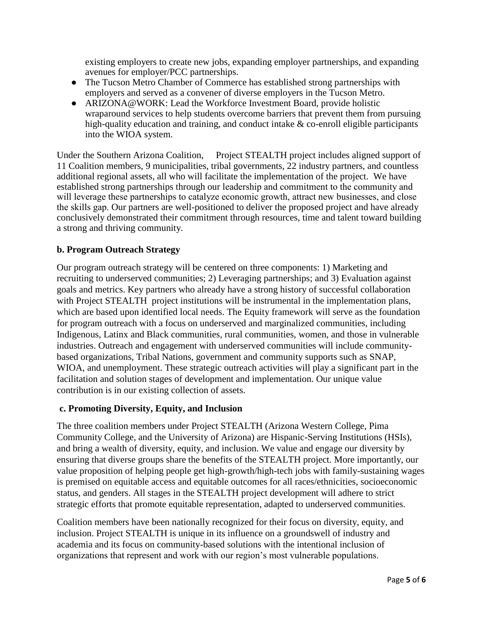existing employers to create new jobs, expanding employer partnerships, and expanding avenues for employer/PCC partnerships.

- The Tucson Metro Chamber of Commerce has established strong partnerships with employers and served as a convener of diverse employers in the Tucson Metro.
- ARIZONA@WORK: Lead the Workforce Investment Board, provide holistic wraparound services to help students overcome barriers that prevent them from pursuing high-quality education and training, and conduct intake & co-enroll eligible participants into the WIOA system.

Under the Southern Arizona Coalition, Project STEALTH project includes aligned support of 11 Coalition members, 9 municipalities, tribal governments, 22 industry partners, and countless additional regional assets, all who will facilitate the implementation of the project. We have established strong partnerships through our leadership and commitment to the community and will leverage these partnerships to catalyze economic growth, attract new businesses, and close the skills gap. Our partners are well-positioned to deliver the proposed project and have already conclusively demonstrated their commitment through resources, time and talent toward building a strong and thriving community.

## **b. Program Outreach Strategy**

Our program outreach strategy will be centered on three components: 1) Marketing and recruiting to underserved communities; 2) Leveraging partnerships; and 3) Evaluation against goals and metrics. Key partners who already have a strong history of successful collaboration with Project STEALTH project institutions will be instrumental in the implementation plans, which are based upon identified local needs. The Equity framework will serve as the foundation for program outreach with a focus on underserved and marginalized communities, including Indigenous, Latinx and Black communities, rural communities, women, and those in vulnerable industries. Outreach and engagement with underserved communities will include communitybased organizations, Tribal Nations, government and community supports such as SNAP, WIOA, and unemployment. These strategic outreach activities will play a significant part in the facilitation and solution stages of development and implementation. Our unique value contribution is in our existing collection of assets.

### **c. Promoting Diversity, Equity, and Inclusion**

The three coalition members under Project STEALTH (Arizona Western College, Pima Community College, and the University of Arizona) are Hispanic-Serving Institutions (HSIs), and bring a wealth of diversity, equity, and inclusion. We value and engage our diversity by ensuring that diverse groups share the benefits of the STEALTH project. More importantly, our value proposition of helping people get high-growth/high-tech jobs with family-sustaining wages is premised on equitable access and equitable outcomes for all races/ethnicities, socioeconomic status, and genders. All stages in the STEALTH project development will adhere to strict strategic efforts that promote equitable representation, adapted to underserved communities.

Coalition members have been nationally recognized for their focus on diversity, equity, and inclusion. Project STEALTH is unique in its influence on a groundswell of industry and academia and its focus on community-based solutions with the intentional inclusion of organizations that represent and work with our region's most vulnerable populations.